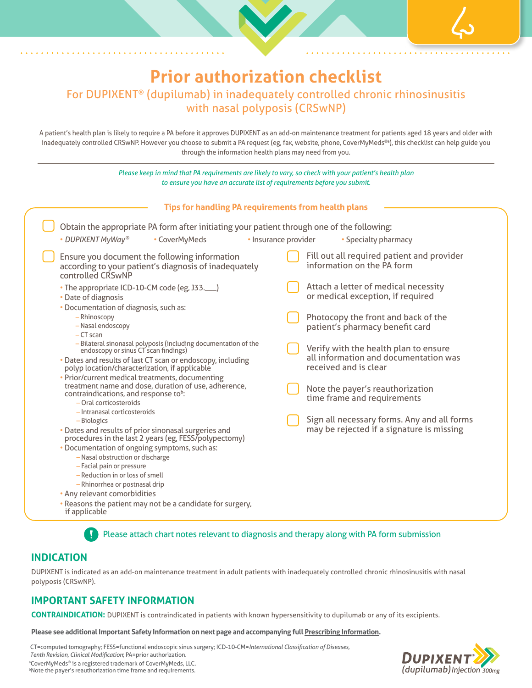# **Prior authorization checklist** For DUPIXENT® (dupilumab) in inadequately controlled chronic rhinosinusitis with nasal polyposis (CRSwNP)

A patient's health plan is likely to require a PA before it approves DUPIXENT as an add-on maintenance treatment for patients aged 18 years and older with inadequately controlled CRSwNP. However you choose to submit a PA request (eg, fax, website, phone, CoverMyMeds®a), this checklist can help guide you through the information health plans may need from you.

*Please keep in mind that PA requirements are likely to vary, so check with your patient's health plan to ensure you have an accurate list of requirements before you submit.* Obtain the appropriate PA form after initiating your patient through one of the following: • DUPIXENT MyWay<sup>®</sup> • CoverMyMeds • Insurance provider • Specialty pharmacy Ensure you document the following information according to your patient's diagnosis of inadequately controlled CRSwNP • The appropriate ICD-10-CM code (eg, J33.\_\_\_) • Date of diagnosis • Documentation of diagnosis, such as: – Rhinoscopy – Nasal endoscopy – CT scan – Bilateral sinonasal polyposis (including documentation of the endoscopy or sinus CT scan findings) • Dates and results of last CT scan or endoscopy, including polyp location/characterization, if applicable • Prior/current medical treatments, documenting treatment name and dose, duration of use, adherence, contraindications, and response to<sup>b</sup>: – Oral corticosteroids – Intranasal corticosteroids – Biologics • Dates and results of prior sinonasal surgeries and procedures in the last 2 years (eg, FESS/polypectomy) • Documentation of ongoing symptoms, such as: – Nasal obstruction or discharge – Facial pain or pressure – Reduction in or loss of smell – Rhinorrhea or postnasal drip **Tips for handling PA requirements from health plans** Fill out all required patient and provider information on the PA form Attach a letter of medical necessity or medical exception, if required Photocopy the front and back of the patient's pharmacy benefit card Verify with the health plan to ensure all information and documentation was received and is clear Note the payer's reauthorization time frame and requirements Sign all necessary forms. Any and all forms may be rejected if a signature is missing

- Any relevant comorbidities
- Reasons the patient may not be a candidate for surgery, if applicable

Please attach chart notes relevant to diagnosis and therapy along with PA form submission

## **INDICATION**

DUPIXENT is indicated as an add-on maintenance treatment in adult patients with inadequately controlled chronic rhinosinusitis with nasal polyposis (CRSwNP).

# **IMPORTANT SAFETY INFORMATION**

**CONTRAINDICATION:** DUPIXENT is contraindicated in patients with known hypersensitivity to dupilumab or any of its excipients.

#### **Please see additional Important Safety Information on next page and accompanying full [Prescribing Information](https://www.regeneron.com/downloads/dupixent_fpi.pdf).**

CT=computed tomography; FESS=functional endoscopic sinus surgery; ICD-10-CM=*International Classification of Diseases,* 

 *Tenth Revision, Clinical Modification*; PA=prior authorization.

aCoverMyMeds® is a registered trademark of CoverMyMeds, LLC.

<sup>b</sup>Note the payer's reauthorization time frame and requirements.